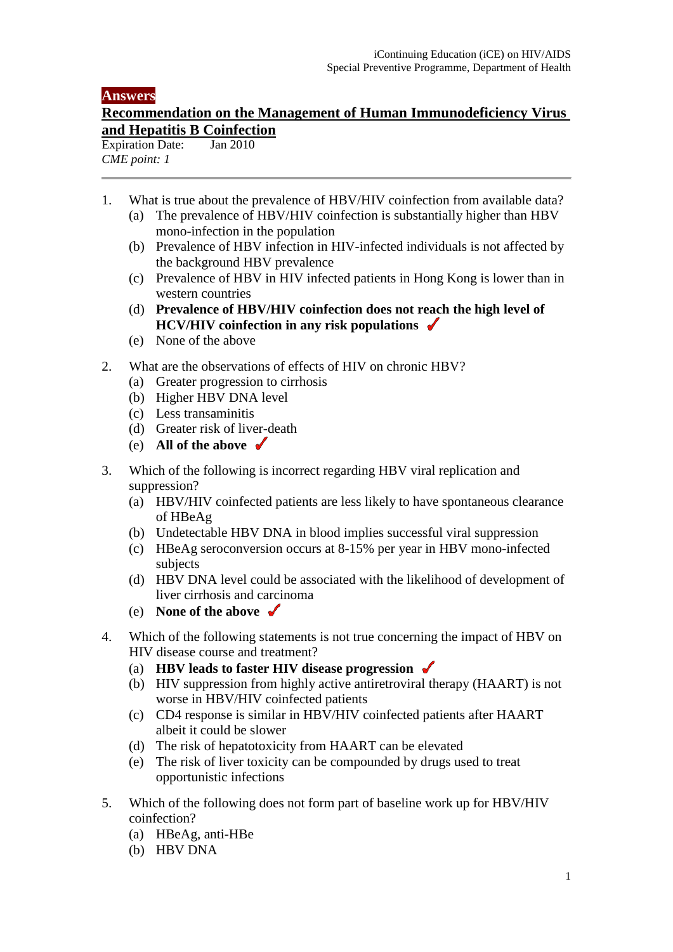## **Answers**

## **Recommendation on the Management of Human Immunodeficiency Virus and Hepatitis B Coinfection**<br>Expiration Date: **Lan 2010**

Expiration Date: *CME point: 1* 

- 1. What is true about the prevalence of HBV/HIV coinfection from available data?
	- (a) The prevalence of HBV/HIV coinfection is substantially higher than HBV mono-infection in the population
	- (b) Prevalence of HBV infection in HIV-infected individuals is not affected by the background HBV prevalence
	- (c) Prevalence of HBV in HIV infected patients in Hong Kong is lower than in western countries
	- (d) **Prevalence of HBV/HIV coinfection does not reach the high level of HCV/HIV coinfection in any risk populations**
	- (e) None of the above
- 2. What are the observations of effects of HIV on chronic HBV?
	- (a) Greater progression to cirrhosis
	- (b) Higher HBV DNA level
	- (c) Less transaminitis
	- (d) Greater risk of liver-death
	- (e) **All of the above**
- 3. Which of the following is incorrect regarding HBV viral replication and suppression?
	- (a) HBV/HIV coinfected patients are less likely to have spontaneous clearance of HBeAg
	- (b) Undetectable HBV DNA in blood implies successful viral suppression
	- (c) HBeAg seroconversion occurs at 8-15% per year in HBV mono-infected subjects
	- (d) HBV DNA level could be associated with the likelihood of development of liver cirrhosis and carcinoma
	- (e) **None of the above**
- 4. Which of the following statements is not true concerning the impact of HBV on HIV disease course and treatment?
	- (a) **HBV leads to faster HIV disease progression**
	- (b) HIV suppression from highly active antiretroviral therapy (HAART) is not worse in HBV/HIV coinfected patients
	- (c) CD4 response is similar in HBV/HIV coinfected patients after HAART albeit it could be slower
	- (d) The risk of hepatotoxicity from HAART can be elevated
	- (e) The risk of liver toxicity can be compounded by drugs used to treat opportunistic infections
- 5. Which of the following does not form part of baseline work up for HBV/HIV coinfection?
	- (a) HBeAg, anti-HBe
	- (b) HBV DNA